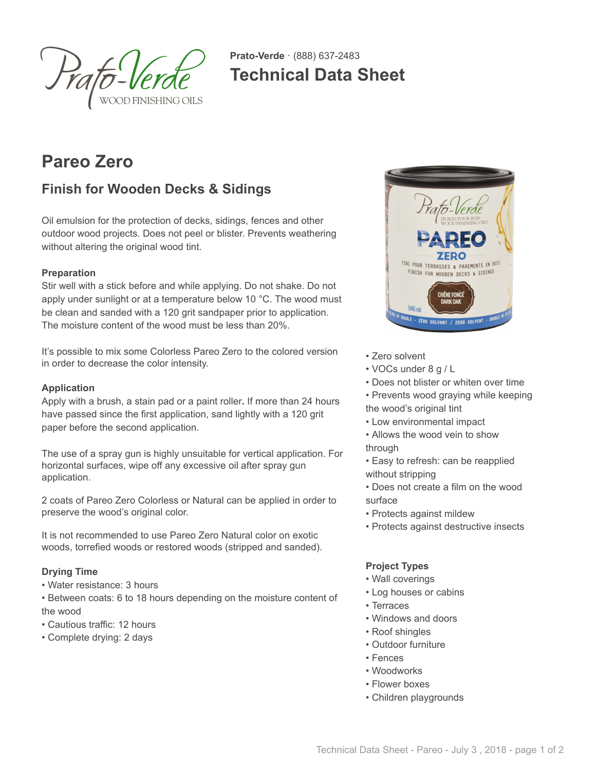

**Prato-Verde** · (888) 637-2483 **Technical Data Sheet**

# **Pareo Zero**

# **Finish for Wooden Decks & Sidings**

Oil emulsion for the protection of decks, sidings, fences and other outdoor wood projects. Does not peel or blister. Prevents weathering without altering the original wood tint.

# **Preparation**

Stir well with a stick before and while applying. Do not shake. Do not apply under sunlight or at a temperature below 10 °C. The wood must be clean and sanded with a 120 grit sandpaper prior to application. The moisture content of the wood must be less than 20%.

It's possible to mix some Colorless Pareo Zero to the colored version in order to decrease the color intensity.

#### **Application**

Apply with a brush, a stain pad or a paint roller**.** If more than 24 hours have passed since the first application, sand lightly with a 120 grit paper before the second application.

The use of a spray gun is highly unsuitable for vertical application. For horizontal surfaces, wipe off any excessive oil after spray gun application.

2 coats of Pareo Zero Colorless or Natural can be applied in order to preserve the wood's original color.

It is not recommended to use Pareo Zero Natural color on exotic woods, torrefied woods or restored woods (stripped and sanded).

# **Drying Time**

• Water resistance: 3 hours

• Between coats: 6 to 18 hours depending on the moisture content of the wood

- Cautious traffic: 12 hours
- Complete drying: 2 days



- Zero solvent
- VOCs under 8 g / L
- Does not blister or whiten over time
- Prevents wood graying while keeping the wood's original tint
- Low environmental impact
- Allows the wood vein to show through
- Easy to refresh: can be reapplied without stripping
- Does not create a film on the wood surface
- Protects against mildew
- Protects against destructive insects

#### **Project Types**

- Wall coverings
- Log houses or cabins
- Terraces
- Windows and doors
- Roof shingles
- Outdoor furniture
- Fences
- Woodworks
- Flower boxes
- Children playgrounds